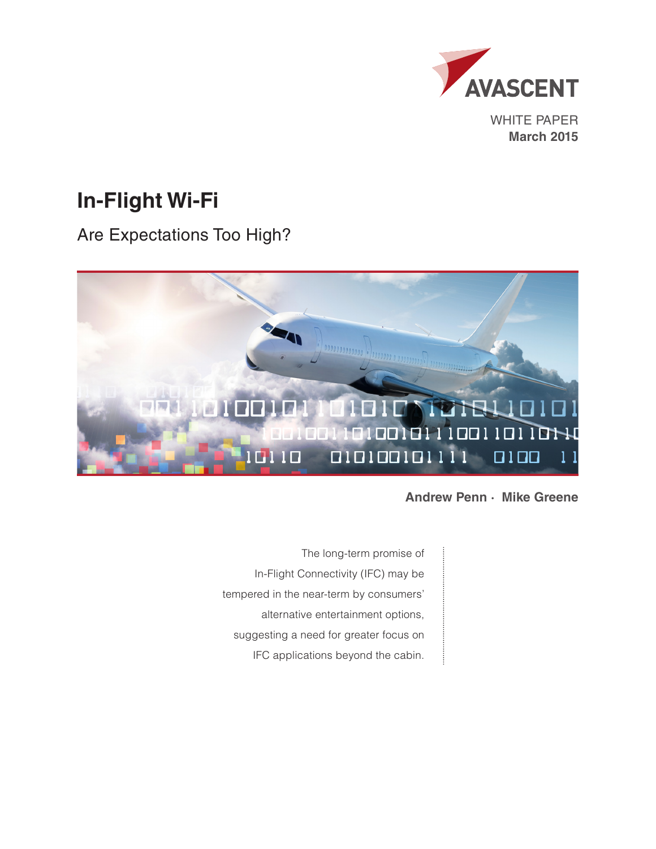

WHITE PAPER **March 2015**

# **In-Flight Wi-Fi**

Are Expectations Too High?



**Andrew Penn · Mike Greene**

The long-term promise of In-Flight Connectivity (IFC) may be tempered in the near-term by consumers' alternative entertainment options, suggesting a need for greater focus on IFC applications beyond the cabin.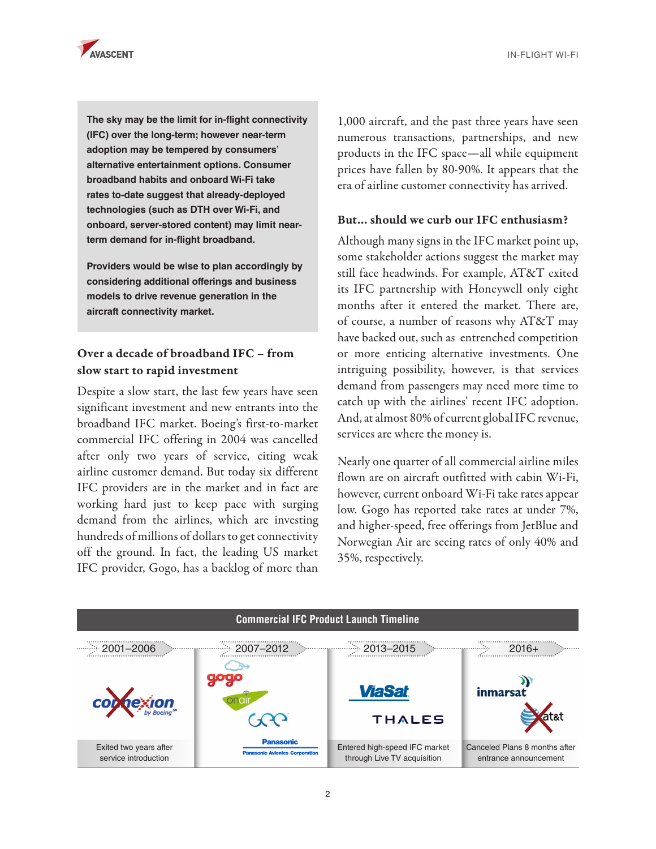

IN-FLIGHT WI-FI

**The sky may be the limit for in-flight connectivity (IFC) over the long-term; however near-term adoption may be tempered by consumers' alternative entertainment options. Consumer broadband habits and onboard Wi-Fi take rates to-date suggest that already-deployed technologies (such as DTH over Wi-Fi, and onboard, server-stored content) may limit nearterm demand for in-flight broadband.**

**Providers would be wise to plan accordingly by considering additional offerings and business models to drive revenue generation in the aircraft connectivity market.**

# Over a decade of broadband IFC – from slow start to rapid investment

Despite a slow start, the last few years have seen significant investment and new entrants into the broadband IFC market. Boeing's first-to-market commercial IFC offering in 2004 was cancelled after only two years of service, citing weak airline customer demand. But today six different IFC providers are in the market and in fact are working hard just to keep pace with surging demand from the airlines, which are investing hundreds of millions of dollars to get connectivity off the ground. In fact, the leading US market IFC provider, Gogo, has a backlog of more than

1,000 aircraft, and the past three years have seen numerous transactions, partnerships, and new products in the IFC space—all while equipment prices have fallen by 80-90%. It appears that the era of airline customer connectivity has arrived.

### But… should we curb our IFC enthusiasm?

Although many signs in the IFC market point up, some stakeholder actions suggest the market may still face headwinds. For example, AT&T exited its IFC partnership with Honeywell only eight months after it entered the market. There are, of course, a number of reasons why AT&T may have backed out, such as entrenched competition or more enticing alternative investments. One intriguing possibility, however, is that services demand from passengers may need more time to catch up with the airlines' recent IFC adoption. And, at almost 80% of current global IFC revenue, services are where the money is.

Nearly one quarter of all commercial airline miles flown are on aircraft outfitted with cabin Wi-Fi, however, current onboard Wi-Fi take rates appear low. Gogo has reported take rates at under 7%, and higher-speed, free offerings from JetBlue and Norwegian Air are seeing rates of only 40% and 35%, respectively.

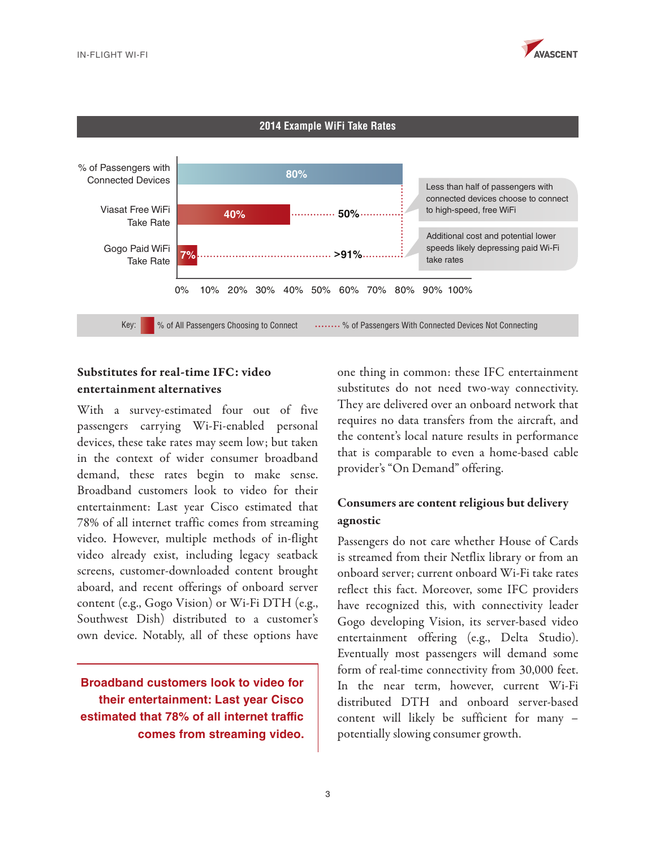



## Substitutes for real-time IFC: video entertainment alternatives

With a survey-estimated four out of five passengers carrying Wi-Fi-enabled personal devices, these take rates may seem low; but taken in the context of wider consumer broadband demand, these rates begin to make sense. Broadband customers look to video for their entertainment: Last year Cisco estimated that 78% of all internet traffic comes from streaming video. However, multiple methods of in-flight video already exist, including legacy seatback screens, customer-downloaded content brought aboard, and recent offerings of onboard server content (e.g., Gogo Vision) or Wi-Fi DTH (e.g., Southwest Dish) distributed to a customer's own device. Notably, all of these options have

**Broadband customers look to video for their entertainment: Last year Cisco estimated that 78% of all internet traffic comes from streaming video.**  one thing in common: these IFC entertainment substitutes do not need two-way connectivity. They are delivered over an onboard network that requires no data transfers from the aircraft, and the content's local nature results in performance that is comparable to even a home-based cable provider's "On Demand" offering.

# Consumers are content religious but delivery agnostic

Passengers do not care whether House of Cards is streamed from their Netflix library or from an onboard server; current onboard Wi-Fi take rates reflect this fact. Moreover, some IFC providers have recognized this, with connectivity leader Gogo developing Vision, its server-based video entertainment offering (e.g., Delta Studio). Eventually most passengers will demand some form of real-time connectivity from 30,000 feet. In the near term, however, current Wi-Fi distributed DTH and onboard server-based content will likely be sufficient for many – potentially slowing consumer growth.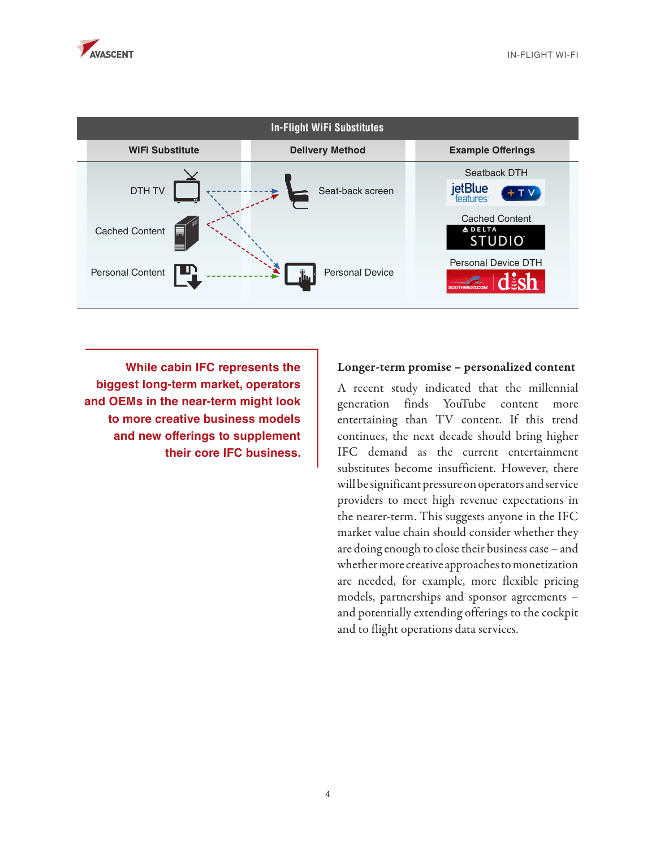

| <b>In-Flight WiFi Substitutes</b> |                        |                                                            |
|-----------------------------------|------------------------|------------------------------------------------------------|
| <b>WiFi Substitute</b>            | <b>Delivery Method</b> | <b>Example Offerings</b>                                   |
| DTH TV                            | Seat-back screen       | Seatback DTH<br>jetBlue<br>$+ TV$<br>teatures <sup>®</sup> |
| <b>Cached Content</b><br>⊟        |                        | <b>Cached Content</b><br><b>ADELTA</b><br><b>STUDIO</b>    |
| Personal Content                  | <b>Personal Device</b> | Personal Device DTH                                        |

**While cabin IFC represents the biggest long-term market, operators and OEMs in the near-term might look to more creative business models and new offerings to supplement their core IFC business.**

#### Longer-term promise – personalized content

A recent study indicated that the millennial generation finds YouTube content more entertaining than TV content. If this trend continues, the next decade should bring higher IFC demand as the current entertainment substitutes become insufficient. However, there will be significant pressure on operators and service providers to meet high revenue expectations in the nearer-term. This suggests anyone in the IFC market value chain should consider whether they are doing enough to close their business case – and whether more creative approaches to monetization are needed, for example, more flexible pricing models, partnerships and sponsor agreements – and potentially extending offerings to the cockpit and to flight operations data services.